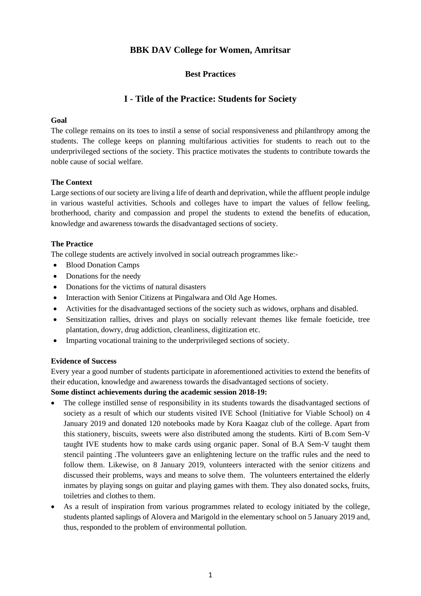## **BBK DAV College for Women, Amritsar**

## **Best Practices**

# **I - Title of the Practice: Students for Society**

## **Goal**

The college remains on its toes to instil a sense of social responsiveness and philanthropy among the students. The college keeps on planning multifarious activities for students to reach out to the underprivileged sections of the society. This practice motivates the students to contribute towards the noble cause of social welfare.

## **The Context**

Large sections of our society are living a life of dearth and deprivation, while the affluent people indulge in various wasteful activities. Schools and colleges have to impart the values of fellow feeling, brotherhood, charity and compassion and propel the students to extend the benefits of education, knowledge and awareness towards the disadvantaged sections of society.

### **The Practice**

The college students are actively involved in social outreach programmes like:-

- Blood Donation Camps
- Donations for the needy
- Donations for the victims of natural disasters
- Interaction with Senior Citizens at Pingalwara and Old Age Homes.
- Activities for the disadvantaged sections of the society such as widows, orphans and disabled.
- Sensitization rallies, drives and plays on socially relevant themes like female foeticide, tree plantation, dowry, drug addiction, cleanliness, digitization etc.
- Imparting vocational training to the underprivileged sections of society.

## **Evidence of Success**

Every year a good number of students participate in aforementioned activities to extend the benefits of their education, knowledge and awareness towards the disadvantaged sections of society.

## **Some distinct achievements during the academic session 2018-19:**

- The college instilled sense of responsibility in its students towards the disadvantaged sections of society as a result of which our students visited IVE School (Initiative for Viable School) on 4 January 2019 and donated 120 notebooks made by Kora Kaagaz club of the college. Apart from this stationery, biscuits, sweets were also distributed among the students. Kirti of B.com Sem-V taught IVE students how to make cards using organic paper. Sonal of B.A Sem-V taught them stencil painting .The volunteers gave an enlightening lecture on the traffic rules and the need to follow them. Likewise, on 8 January 2019, volunteers interacted with the senior citizens and discussed their problems, ways and means to solve them. The volunteers entertained the elderly inmates by playing songs on guitar and playing games with them. They also donated socks, fruits, toiletries and clothes to them.
- As a result of inspiration from various programmes related to ecology initiated by the college, students planted saplings of Alovera and Marigold in the elementary school on 5 January 2019 and, thus, responded to the problem of environmental pollution.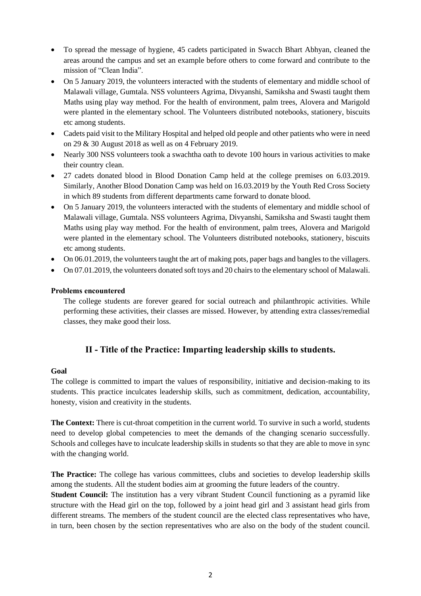- To spread the message of hygiene, 45 cadets participated in Swacch Bhart Abhyan, cleaned the areas around the campus and set an example before others to come forward and contribute to the mission of "Clean India".
- On 5 January 2019, the volunteers interacted with the students of elementary and middle school of Malawali village, Gumtala. NSS volunteers Agrima, Divyanshi, Samiksha and Swasti taught them Maths using play way method. For the health of environment, palm trees, Alovera and Marigold were planted in the elementary school. The Volunteers distributed notebooks, stationery, biscuits etc among students.
- Cadets paid visit to the Military Hospital and helped old people and other patients who were in need on 29 & 30 August 2018 as well as on 4 February 2019.
- Nearly 300 NSS volunteers took a swachtha oath to devote 100 hours in various activities to make their country clean.
- 27 cadets donated blood in Blood Donation Camp held at the college premises on 6.03.2019. Similarly, Another Blood Donation Camp was held on 16.03.2019 by the Youth Red Cross Society in which 89 students from different departments came forward to donate blood.
- On 5 January 2019, the volunteers interacted with the students of elementary and middle school of Malawali village, Gumtala. NSS volunteers Agrima, Divyanshi, Samiksha and Swasti taught them Maths using play way method. For the health of environment, palm trees, Alovera and Marigold were planted in the elementary school. The Volunteers distributed notebooks, stationery, biscuits etc among students.
- On 06.01.2019, the volunteers taught the art of making pots, paper bags and bangles to the villagers.
- On 07.01.2019, the volunteers donated soft toys and 20 chairs to the elementary school of Malawali.

#### **Problems encountered**

The college students are forever geared for social outreach and philanthropic activities. While performing these activities, their classes are missed. However, by attending extra classes/remedial classes, they make good their loss.

## **II - Title of the Practice: Imparting leadership skills to students.**

#### **Goal**

The college is committed to impart the values of responsibility, initiative and decision-making to its students. This practice inculcates leadership skills, such as commitment, dedication, accountability, honesty, vision and creativity in the students.

**The Context:** There is cut-throat competition in the current world. To survive in such a world, students need to develop global competencies to meet the demands of the changing scenario successfully. Schools and colleges have to inculcate leadership skills in students so that they are able to move in sync with the changing world.

**The Practice:** The college has various committees, clubs and societies to develop leadership skills among the students. All the student bodies aim at grooming the future leaders of the country.

**Student Council:** The institution has a very vibrant Student Council functioning as a pyramid like structure with the Head girl on the top, followed by a joint head girl and 3 assistant head girls from different streams. The members of the student council are the elected class representatives who have, in turn, been chosen by the section representatives who are also on the body of the student council.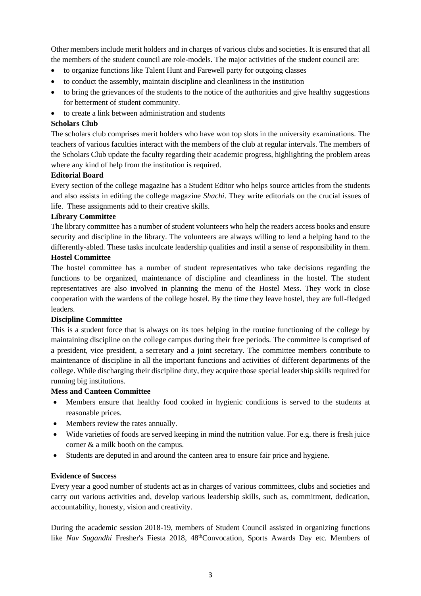Other members include merit holders and in charges of various clubs and societies. It is ensured that all the members of the student council are role-models. The major activities of the student council are:

- to organize functions like Talent Hunt and Farewell party for outgoing classes
- to conduct the assembly, maintain discipline and cleanliness in the institution
- to bring the grievances of the students to the notice of the authorities and give healthy suggestions for betterment of student community.
- to create a link between administration and students

#### **Scholars Club**

The scholars club comprises merit holders who have won top slots in the university examinations. The teachers of various faculties interact with the members of the club at regular intervals. The members of the Scholars Club update the faculty regarding their academic progress, highlighting the problem areas where any kind of help from the institution is required.

#### **Editorial Board**

Every section of the college magazine has a Student Editor who helps source articles from the students and also assists in editing the college magazine *Shachi*. They write editorials on the crucial issues of life. These assignments add to their creative skills.

### **Library Committee**

The library committee has a number of student volunteers who help the readers access books and ensure security and discipline in the library. The volunteers are always willing to lend a helping hand to the differently-abled. These tasks inculcate leadership qualities and instil a sense of responsibility in them.

# **Hostel Committee**

The hostel committee has a number of student representatives who take decisions regarding the functions to be organized, maintenance of discipline and cleanliness in the hostel. The student representatives are also involved in planning the menu of the Hostel Mess. They work in close cooperation with the wardens of the college hostel. By the time they leave hostel, they are full-fledged leaders.

#### **Discipline Committee**

This is a student force that is always on its toes helping in the routine functioning of the college by maintaining discipline on the college campus during their free periods. The committee is comprised of a president, vice president, a secretary and a joint secretary. The committee members contribute to maintenance of discipline in all the important functions and activities of different departments of the college. While discharging their discipline duty, they acquire those special leadership skills required for running big institutions.

#### **Mess and Canteen Committee**

- Members ensure that healthy food cooked in hygienic conditions is served to the students at reasonable prices.
- Members review the rates annually.
- Wide varieties of foods are served keeping in mind the nutrition value. For e.g. there is fresh juice corner & a milk booth on the campus.
- Students are deputed in and around the canteen area to ensure fair price and hygiene.

#### **Evidence of Success**

Every year a good number of students act as in charges of various committees, clubs and societies and carry out various activities and, develop various leadership skills, such as, commitment, dedication, accountability, honesty, vision and creativity.

During the academic session 2018-19, members of Student Council assisted in organizing functions like *Nav Sugandhi* Fresher's Fiesta 2018, 48<sup>th</sup>Convocation, Sports Awards Day etc. Members of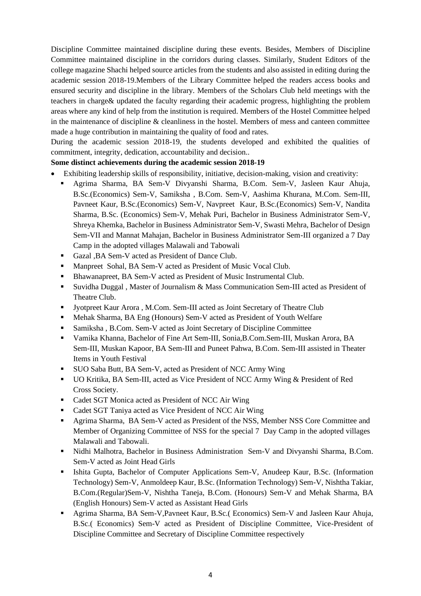Discipline Committee maintained discipline during these events. Besides, Members of Discipline Committee maintained discipline in the corridors during classes. Similarly, Student Editors of the college magazine Shachi helped source articles from the students and also assisted in editing during the academic session 2018-19.Members of the Library Committee helped the readers access books and ensured security and discipline in the library. Members of the Scholars Club held meetings with the teachers in charge& updated the faculty regarding their academic progress, highlighting the problem areas where any kind of help from the institution is required. Members of the Hostel Committee helped in the maintenance of discipline & cleanliness in the hostel. Members of mess and canteen committee made a huge contribution in maintaining the quality of food and rates.

During the academic session 2018-19, the students developed and exhibited the qualities of commitment, integrity, dedication, accountability and decision..

## **Some distinct achievements during the academic session 2018-19**

- Exhibiting leadership skills of responsibility, initiative, decision-making, vision and creativity:
	- Agrima Sharma, BA Sem-V Divyanshi Sharma, B.Com. Sem-V, Jasleen Kaur Ahuja, B.Sc.(Economics) Sem-V, Samiksha , B.Com. Sem-V, Aashima Khurana, M.Com. Sem-III, Pavneet Kaur, B.Sc.(Economics) Sem-V, Navpreet Kaur, B.Sc.(Economics) Sem-V, Nandita Sharma, B.Sc. (Economics) Sem-V, Mehak Puri, Bachelor in Business Administrator Sem-V, Shreya Khemka, Bachelor in Business Administrator Sem-V, Swasti Mehra, Bachelor of Design Sem-VII and Mannat Mahajan, Bachelor in Business Administrator Sem-III organized a 7 Day Camp in the adopted villages Malawali and Tabowali
	- Gazal ,BA Sem-V acted as President of Dance Club.
	- Manpreet Sohal, BA Sem-V acted as President of Music Vocal Club.
	- Bhawanapreet, BA Sem-V acted as President of Music Instrumental Club.
	- Suvidha Duggal , Master of Journalism & Mass Communication Sem-III acted as President of Theatre Club.
	- Jyotpreet Kaur Arora , M.Com. Sem-III acted as Joint Secretary of Theatre Club
	- Mehak Sharma, BA Eng (Honours) Sem-V acted as President of Youth Welfare
	- Samiksha, B.Com. Sem-V acted as Joint Secretary of Discipline Committee
	- Vamika Khanna, Bachelor of Fine Art Sem-III, Sonia,B.Com.Sem-III, Muskan Arora, BA Sem-III, Muskan Kapoor, BA Sem-III and Puneet Pahwa, B.Com. Sem-III assisted in Theater Items in Youth Festival
	- SUO Saba Butt, BA Sem-V, acted as President of NCC Army Wing
	- UO Kritika, BA Sem-III, acted as Vice President of NCC Army Wing & President of Red Cross Society.
	- Cadet SGT Monica acted as President of NCC Air Wing
	- Cadet SGT Taniya acted as Vice President of NCC Air Wing
	- Agrima Sharma, BA Sem-V acted as President of the NSS, Member NSS Core Committee and Member of Organizing Committee of NSS for the special 7 Day Camp in the adopted villages Malawali and Tabowali.
	- Nidhi Malhotra, Bachelor in Business Administration Sem-V and Divyanshi Sharma, B.Com. Sem-V acted as Joint Head Girls
	- Ishita Gupta, Bachelor of Computer Applications Sem-V, Anudeep Kaur, B.Sc. (Information Technology) Sem-V, Anmoldeep Kaur, B.Sc. (Information Technology) Sem-V, Nishtha Takiar, B.Com.(Regular)Sem-V, Nishtha Taneja, B.Com. (Honours) Sem-V and Mehak Sharma, BA (English Honours) Sem-V acted as Assistant Head Girls
	- Agrima Sharma, BA Sem-V,Pavneet Kaur, B.Sc.( Economics) Sem-V and Jasleen Kaur Ahuja, B.Sc.( Economics) Sem-V acted as President of Discipline Committee, Vice-President of Discipline Committee and Secretary of Discipline Committee respectively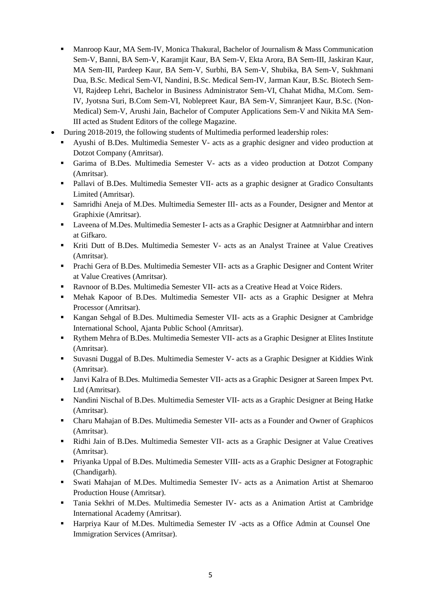- **Manroop Kaur, MA Sem-IV, Monica Thakural, Bachelor of Journalism & Mass Communication** Sem-V, Banni, BA Sem-V, Karamjit Kaur, BA Sem-V, Ekta Arora, BA Sem-III, Jaskiran Kaur, MA Sem-III, Pardeep Kaur, BA Sem-V, Surbhi, BA Sem-V, Shubika, BA Sem-V, Sukhmani Dua, B.Sc. Medical Sem-VI, Nandini, B.Sc. Medical Sem-IV, Jarman Kaur, B.Sc. Biotech Sem-VI, Rajdeep Lehri, Bachelor in Business Administrator Sem-VI, Chahat Midha, M.Com. Sem-IV, Jyotsna Suri, B.Com Sem-VI, Noblepreet Kaur, BA Sem-V, Simranjeet Kaur, B.Sc. (Non-Medical) Sem-V, Arushi Jain, Bachelor of Computer Applications Sem-V and Nikita MA Sem-III acted as Student Editors of the college Magazine.
- During 2018-2019, the following students of Multimedia performed leadership roles:
	- Ayushi of B.Des. Multimedia Semester V- acts as a graphic designer and video production at Dotzot Company (Amritsar).
	- Garima of B.Des. Multimedia Semester V- acts as a video production at Dotzot Company (Amritsar).
	- Pallavi of B.Des. Multimedia Semester VII- acts as a graphic designer at Gradico Consultants Limited (Amritsar).
	- Samridhi Aneja of M.Des. Multimedia Semester III- acts as a Founder, Designer and Mentor at Graphixie (Amritsar).
	- Laveena of M.Des. Multimedia Semester I- acts as a Graphic Designer at Aatmnirbhar and intern at Gifkaro.
	- Kriti Dutt of B.Des. Multimedia Semester V- acts as an Analyst Trainee at Value Creatives (Amritsar).
	- Prachi Gera of B.Des. Multimedia Semester VII- acts as a Graphic Designer and Content Writer at Value Creatives (Amritsar).
	- Ravnoor of B.Des. Multimedia Semester VII- acts as a Creative Head at Voice Riders.
	- Mehak Kapoor of B.Des. Multimedia Semester VII- acts as a Graphic Designer at Mehra Processor (Amritsar).
	- Kangan Sehgal of B.Des. Multimedia Semester VII- acts as a Graphic Designer at Cambridge International School, Ajanta Public School (Amritsar).
	- Rythem Mehra of B.Des. Multimedia Semester VII- acts as a Graphic Designer at Elites Institute (Amritsar).
	- Suvasni Duggal of B.Des. Multimedia Semester V- acts as a Graphic Designer at Kiddies Wink (Amritsar).
	- Janvi Kalra of B.Des. Multimedia Semester VII- acts as a Graphic Designer at Sareen Impex Pvt. Ltd (Amritsar).
	- Nandini Nischal of B.Des. Multimedia Semester VII- acts as a Graphic Designer at Being Hatke (Amritsar).
	- Charu Mahajan of B.Des. Multimedia Semester VII- acts as a Founder and Owner of Graphicos (Amritsar).
	- Ridhi Jain of B.Des. Multimedia Semester VII- acts as a Graphic Designer at Value Creatives (Amritsar).
	- Priyanka Uppal of B.Des. Multimedia Semester VIII- acts as a Graphic Designer at Fotographic (Chandigarh).
	- Swati Mahajan of M.Des. Multimedia Semester IV- acts as a Animation Artist at Shemaroo Production House (Amritsar).
	- Tania Sekhri of M.Des. Multimedia Semester IV- acts as a Animation Artist at Cambridge International Academy (Amritsar).
	- Harpriya Kaur of M.Des. Multimedia Semester IV -acts as a Office Admin at Counsel One Immigration Services (Amritsar).